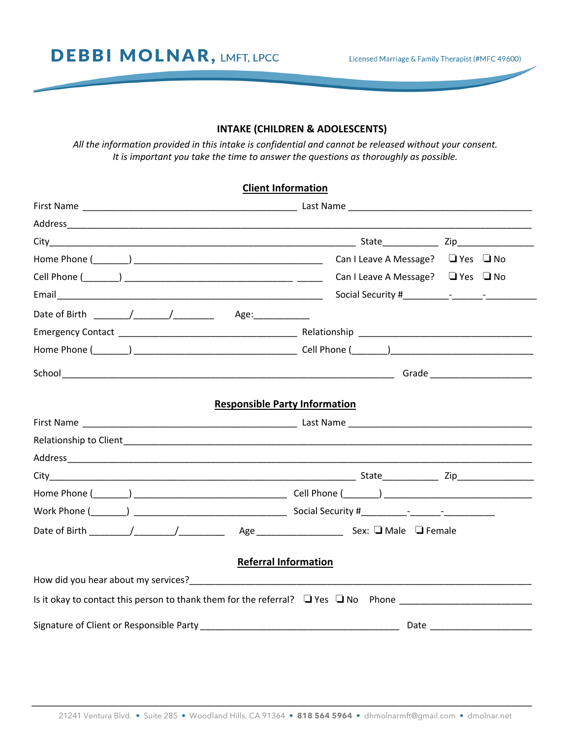**DEBBI MOLNAR, LMFT, LPCC** 

Licensed Marriage & Family Therapist (#MFC 49600)

### **INTAKE (CHILDREN & ADOLESCENTS)**

*All the information provided in this intake is confidential and cannot be released without your consent. It is important you take the time to answer the questions as thoroughly as possible.*

# **Client Information**

|                                                                                              | Can I Leave A Message? $\Box$ Yes $\Box$ No |
|----------------------------------------------------------------------------------------------|---------------------------------------------|
|                                                                                              | Can I Leave A Message? $\Box$ Yes $\Box$ No |
|                                                                                              |                                             |
|                                                                                              |                                             |
|                                                                                              |                                             |
|                                                                                              |                                             |
|                                                                                              |                                             |
| <b>Responsible Party Information</b>                                                         |                                             |
|                                                                                              |                                             |
|                                                                                              |                                             |
|                                                                                              |                                             |
|                                                                                              |                                             |
|                                                                                              |                                             |
| <b>Referral Information</b>                                                                  |                                             |
|                                                                                              |                                             |
| Is it okay to contact this person to thank them for the referral? $\Box$ Yes $\Box$ No Phone |                                             |
|                                                                                              |                                             |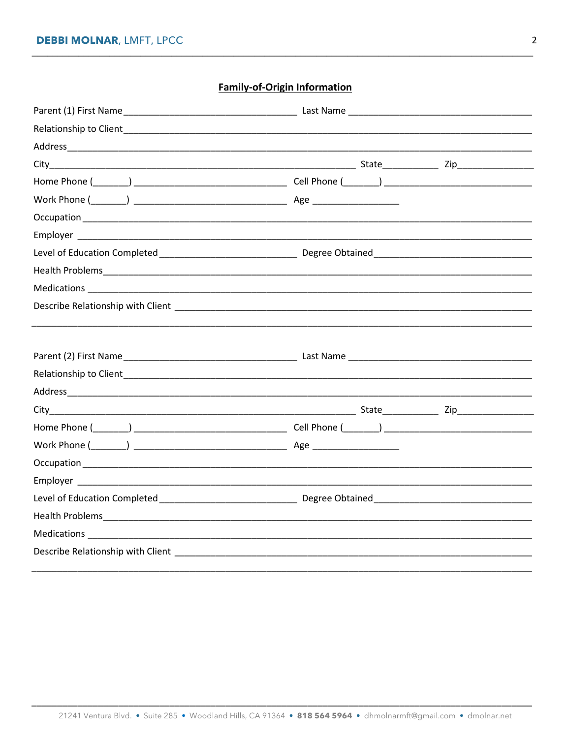## **Family-of-Origin Information**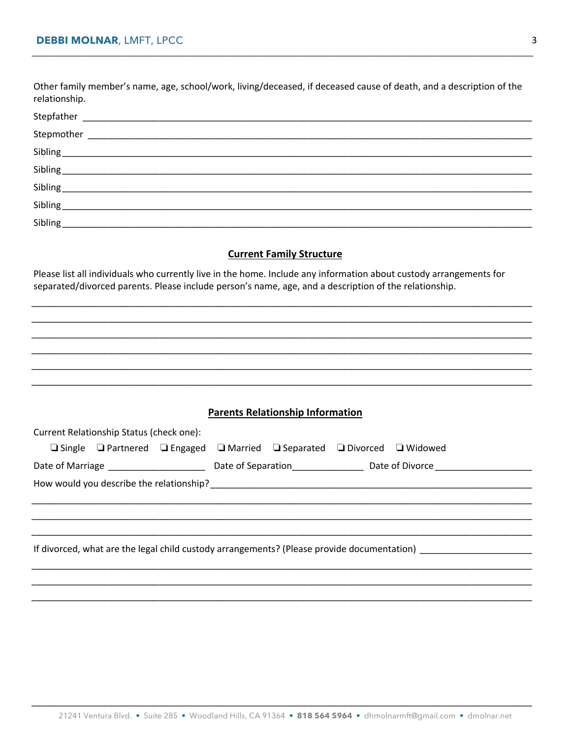Other family member's name, age, school/work, living/deceased, if deceased cause of death, and a description of the relationship.

| Stepfather |  |
|------------|--|
|            |  |
|            |  |
|            |  |
|            |  |
| Sibling    |  |
| Sibling    |  |

#### **Current Family Structure**

Please list all individuals who currently live in the home. Include any information about custody arrangements for separated/divorced parents. Please include person's name, age, and a description of the relationship.

|                                          | <b>Parents Relationship Information</b> |                                                                                            |
|------------------------------------------|-----------------------------------------|--------------------------------------------------------------------------------------------|
| Current Relationship Status (check one): |                                         |                                                                                            |
|                                          |                                         | <b>□</b> Single □ Partnered □ Engaged □ Married □ Separated □ Divorced □ Widowed           |
|                                          |                                         |                                                                                            |
|                                          |                                         |                                                                                            |
|                                          |                                         |                                                                                            |
|                                          |                                         |                                                                                            |
|                                          |                                         |                                                                                            |
|                                          |                                         |                                                                                            |
|                                          |                                         | If divorced, what are the legal child custody arrangements? (Please provide documentation) |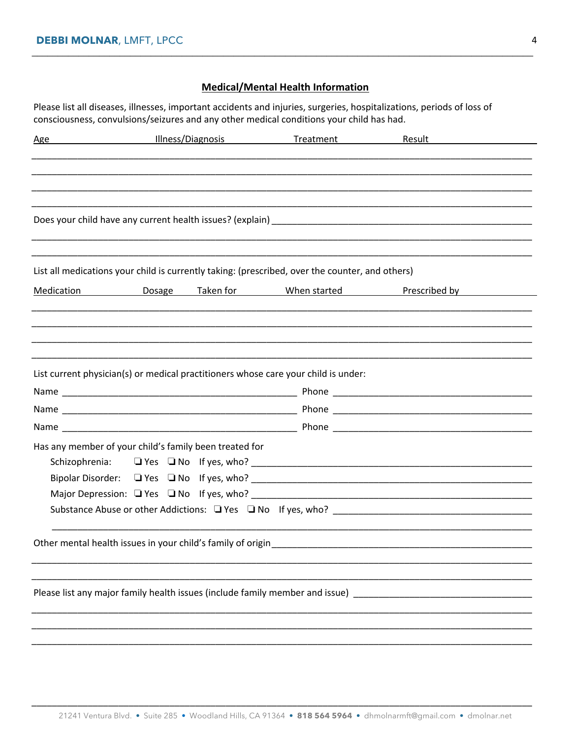### **Medical/Mental Health Information**

Please list all diseases, illnesses, important accidents and injuries, surgeries, hospitalizations, periods of loss of consciousness, convulsions/seizures and any other medical conditions your child has had.

| <u>Age</u>                                                  |  | Illness/Diagnosis Treatment                                                                     | <b>Result Exercise Exercise Service Service Service Service Service Service Service Service Service Service Service</b> |  |
|-------------------------------------------------------------|--|-------------------------------------------------------------------------------------------------|-------------------------------------------------------------------------------------------------------------------------|--|
|                                                             |  |                                                                                                 |                                                                                                                         |  |
|                                                             |  |                                                                                                 |                                                                                                                         |  |
|                                                             |  |                                                                                                 |                                                                                                                         |  |
|                                                             |  |                                                                                                 |                                                                                                                         |  |
|                                                             |  |                                                                                                 |                                                                                                                         |  |
|                                                             |  |                                                                                                 |                                                                                                                         |  |
|                                                             |  | List all medications your child is currently taking: (prescribed, over the counter, and others) |                                                                                                                         |  |
| Medication                                                  |  |                                                                                                 | Dosage Taken for When started Prescribed by                                                                             |  |
|                                                             |  |                                                                                                 |                                                                                                                         |  |
|                                                             |  |                                                                                                 |                                                                                                                         |  |
|                                                             |  |                                                                                                 |                                                                                                                         |  |
|                                                             |  |                                                                                                 |                                                                                                                         |  |
|                                                             |  | List current physician(s) or medical practitioners whose care your child is under:              |                                                                                                                         |  |
|                                                             |  |                                                                                                 |                                                                                                                         |  |
|                                                             |  |                                                                                                 |                                                                                                                         |  |
|                                                             |  |                                                                                                 |                                                                                                                         |  |
| Has any member of your child's family been treated for      |  |                                                                                                 |                                                                                                                         |  |
|                                                             |  |                                                                                                 |                                                                                                                         |  |
|                                                             |  |                                                                                                 |                                                                                                                         |  |
|                                                             |  |                                                                                                 |                                                                                                                         |  |
|                                                             |  |                                                                                                 |                                                                                                                         |  |
|                                                             |  |                                                                                                 |                                                                                                                         |  |
| Other mental health issues in your child's family of origin |  |                                                                                                 |                                                                                                                         |  |
|                                                             |  |                                                                                                 |                                                                                                                         |  |
|                                                             |  |                                                                                                 |                                                                                                                         |  |
|                                                             |  |                                                                                                 | Please list any major family health issues (include family member and issue)                                            |  |
|                                                             |  |                                                                                                 |                                                                                                                         |  |
|                                                             |  |                                                                                                 |                                                                                                                         |  |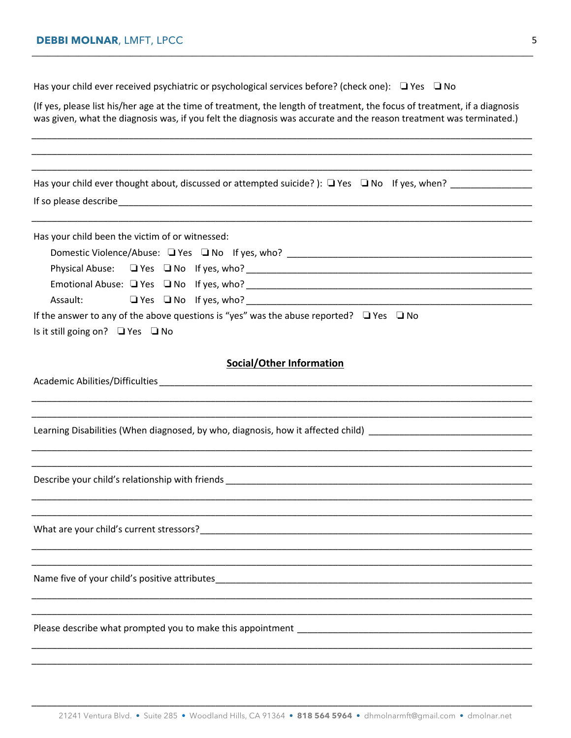| Has your child ever received psychiatric or psychological services before? (check one): $\Box$ Yes $\Box$ No                                                                                                                                                                                                                                                             |  |  |  |  |
|--------------------------------------------------------------------------------------------------------------------------------------------------------------------------------------------------------------------------------------------------------------------------------------------------------------------------------------------------------------------------|--|--|--|--|
| (If yes, please list his/her age at the time of treatment, the length of treatment, the focus of treatment, if a diagnosis<br>was given, what the diagnosis was, if you felt the diagnosis was accurate and the reason treatment was terminated.)                                                                                                                        |  |  |  |  |
|                                                                                                                                                                                                                                                                                                                                                                          |  |  |  |  |
| Has your child ever thought about, discussed or attempted suicide?): $\Box$ Yes $\Box$ No If yes, when?                                                                                                                                                                                                                                                                  |  |  |  |  |
| Has your child been the victim of or witnessed:<br>Physical Abuse: 4 Yes 4 No 1f yes, who? 4 no 100 november 2010 1 2010 1 2010 1 2010 1 2010 1 2010 1 2010 1 201<br>Assault: $\square$ Yes $\square$ No If yes, who?<br>If the answer to any of the above questions is "yes" was the abuse reported? $\Box$ Yes $\Box$ No<br>Is it still going on? $\Box$ Yes $\Box$ No |  |  |  |  |
| <b>Social/Other Information</b>                                                                                                                                                                                                                                                                                                                                          |  |  |  |  |
| Learning Disabilities (When diagnosed, by who, diagnosis, how it affected child)                                                                                                                                                                                                                                                                                         |  |  |  |  |
| Describe your child's relationship with friends example and a series of the series of the series of the series                                                                                                                                                                                                                                                           |  |  |  |  |
| What are your child's current stressors?                                                                                                                                                                                                                                                                                                                                 |  |  |  |  |
| Name five of your child's positive attributes___________________________________                                                                                                                                                                                                                                                                                         |  |  |  |  |
| Please describe what prompted you to make this appointment example as a series of the set of the set of the set of the set of the set of the set of the set of the set of the set of the set of the set of the set of the set                                                                                                                                            |  |  |  |  |
|                                                                                                                                                                                                                                                                                                                                                                          |  |  |  |  |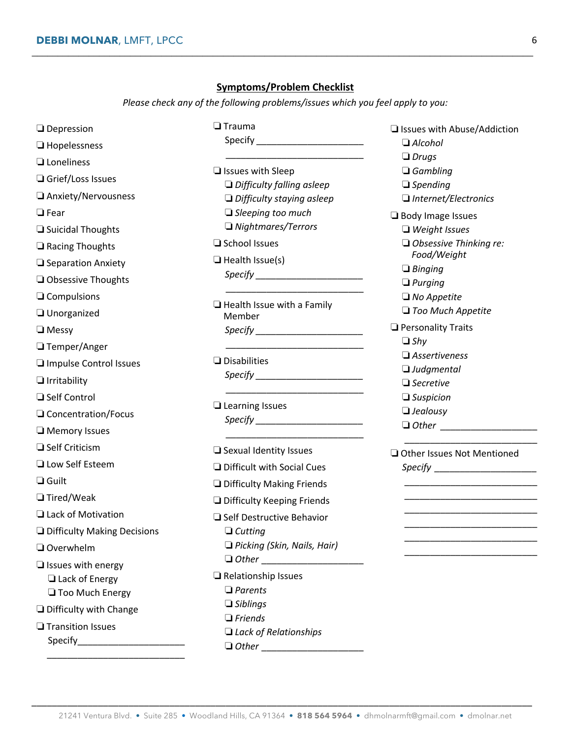## **Symptoms/Problem Checklist**

**\_\_\_\_\_\_\_\_\_\_\_\_\_\_\_\_\_\_\_\_\_\_\_\_\_\_\_\_\_\_\_\_\_\_\_\_\_\_\_\_\_\_\_\_\_\_\_\_\_\_\_\_\_\_\_\_\_\_\_\_\_\_\_\_\_\_\_\_\_\_\_\_\_\_\_\_\_\_\_\_\_\_\_\_\_\_\_\_\_\_\_\_\_\_\_\_\_**

*Please check any of the following problems/issues which you feel apply to you:*

| $\Box$ Depression             | $\Box$ Trauma                                                                                                                                                                                                                  | □ Issues with Abuse/Addiction                                                                                                                                                                                                                                                                                                                                                    |
|-------------------------------|--------------------------------------------------------------------------------------------------------------------------------------------------------------------------------------------------------------------------------|----------------------------------------------------------------------------------------------------------------------------------------------------------------------------------------------------------------------------------------------------------------------------------------------------------------------------------------------------------------------------------|
| $\Box$ Hopelessness           |                                                                                                                                                                                                                                | $\Box$ Alcohol<br>$\Box$ Drugs                                                                                                                                                                                                                                                                                                                                                   |
| $\Box$ Loneliness             | $\Box$ Issues with Sleep                                                                                                                                                                                                       | $\Box$ Gambling                                                                                                                                                                                                                                                                                                                                                                  |
| Grief/Loss Issues             | $\Box$ Difficulty falling asleep                                                                                                                                                                                               | $\Box$ Spending                                                                                                                                                                                                                                                                                                                                                                  |
| □ Anxiety/Nervousness         | $\Box$ Difficulty staying asleep                                                                                                                                                                                               | $\Box$ Internet/Electronics                                                                                                                                                                                                                                                                                                                                                      |
| $\Box$ Fear                   | $\Box$ Sleeping too much                                                                                                                                                                                                       | <b>Body Image Issues</b>                                                                                                                                                                                                                                                                                                                                                         |
| □ Suicidal Thoughts           | $\Box$ Nightmares/Terrors                                                                                                                                                                                                      | $\Box$ Weight Issues                                                                                                                                                                                                                                                                                                                                                             |
| $\Box$ Racing Thoughts        | □ School Issues                                                                                                                                                                                                                | $\Box$ Obsessive Thinking re:                                                                                                                                                                                                                                                                                                                                                    |
| □ Separation Anxiety          | $\Box$ Health Issue(s)                                                                                                                                                                                                         | Food/Weight<br>$\Box$ Binging                                                                                                                                                                                                                                                                                                                                                    |
| Obsessive Thoughts            | $\textit{Specify}$                                                                                                                                                                                                             | $\Box$ Purging                                                                                                                                                                                                                                                                                                                                                                   |
| $\Box$ Compulsions            |                                                                                                                                                                                                                                | $\Box$ No Appetite                                                                                                                                                                                                                                                                                                                                                               |
| Unorganized                   | $\Box$ Health Issue with a Family<br>Member                                                                                                                                                                                    | $\Box$ Too Much Appetite                                                                                                                                                                                                                                                                                                                                                         |
| $\Box$ Messy                  | $\textit{Specify}$                                                                                                                                                                                                             | Personality Traits                                                                                                                                                                                                                                                                                                                                                               |
| $\Box$ Temper/Anger           |                                                                                                                                                                                                                                | $\Box$ Shy                                                                                                                                                                                                                                                                                                                                                                       |
| Impulse Control Issues        | $\Box$ Disabilities                                                                                                                                                                                                            | $\square$ Assertiveness                                                                                                                                                                                                                                                                                                                                                          |
| $\Box$ Irritability           | Specify Specify Specify Specify Specify Specify Specific Specific Specific Specific Specific Specific Specific Specific Specific Specific Specific Specific Specific Specific Specific Specific Specific Specific Specific Spe | $\Box$ Judgmental<br>$\Box$ Secretive                                                                                                                                                                                                                                                                                                                                            |
| □ Self Control                |                                                                                                                                                                                                                                | $\Box$ Suspicion                                                                                                                                                                                                                                                                                                                                                                 |
| □ Concentration/Focus         | $\Box$ Learning Issues                                                                                                                                                                                                         | $\Box$ Jealousy                                                                                                                                                                                                                                                                                                                                                                  |
| Memory Issues                 |                                                                                                                                                                                                                                | $\begin{tabular}{ c c } \hline \rule{.4cm}{.4cm} \rule{.4cm}{.4cm} \rule{.4cm}{.4cm} \rule{.4cm}{.4cm} \rule{.4cm}{.4cm} \rule{.4cm}{.4cm} \rule{.4cm}{.4cm} \rule{.4cm}{.4cm} \rule{.4cm}{.4cm} \rule{.4cm}{.4cm} \rule{.4cm}{.4cm} \rule{.4cm}{.4cm} \rule{.4cm}{.4cm} \rule{.4cm}{.4cm} \rule{.4cm}{.4cm} \rule{.4cm}{.4cm} \rule{.4cm}{.4cm} \rule{.4cm}{.4cm} \rule{.4cm}{$ |
| $\Box$ Self Criticism         | $\Box$ Sexual Identity Issues                                                                                                                                                                                                  | Other Issues Not Mentioned                                                                                                                                                                                                                                                                                                                                                       |
| <b>Low Self Esteem</b>        | $\Box$ Difficult with Social Cues                                                                                                                                                                                              |                                                                                                                                                                                                                                                                                                                                                                                  |
| $\Box$ Guilt                  | Difficulty Making Friends                                                                                                                                                                                                      | <u> 1989 - Johann John Stone, fransk politik (d. 1989)</u>                                                                                                                                                                                                                                                                                                                       |
| $\Box$ Tired/Weak             | Difficulty Keeping Friends                                                                                                                                                                                                     | the control of the control of the control of the control of the control of                                                                                                                                                                                                                                                                                                       |
| Lack of Motivation            | □ Self Destructive Behavior                                                                                                                                                                                                    |                                                                                                                                                                                                                                                                                                                                                                                  |
| Difficulty Making Decisions   | $\Box$ Cutting                                                                                                                                                                                                                 |                                                                                                                                                                                                                                                                                                                                                                                  |
| $\Box$ Overwhelm              | $\Box$ Picking (Skin, Nails, Hair)                                                                                                                                                                                             |                                                                                                                                                                                                                                                                                                                                                                                  |
| $\Box$ Issues with energy     |                                                                                                                                                                                                                                |                                                                                                                                                                                                                                                                                                                                                                                  |
| $\Box$ Lack of Energy         | $\Box$ Relationship Issues                                                                                                                                                                                                     |                                                                                                                                                                                                                                                                                                                                                                                  |
| Too Much Energy               | $\Box$ Parents                                                                                                                                                                                                                 |                                                                                                                                                                                                                                                                                                                                                                                  |
| $\Box$ Difficulty with Change | $\Box$ Siblings                                                                                                                                                                                                                |                                                                                                                                                                                                                                                                                                                                                                                  |
| $\Box$ Transition Issues      | $\Box$ Friends                                                                                                                                                                                                                 |                                                                                                                                                                                                                                                                                                                                                                                  |
|                               | $\Box$ Lack of Relationships                                                                                                                                                                                                   |                                                                                                                                                                                                                                                                                                                                                                                  |

\_\_\_\_\_\_\_\_\_\_\_\_\_\_\_\_\_\_\_\_\_\_\_\_\_\_\_\_\_\_\_\_\_\_\_\_\_\_\_\_\_\_\_\_\_\_\_\_\_\_\_\_\_\_\_\_\_\_\_\_\_\_\_\_\_\_\_\_\_\_\_\_\_\_\_\_\_\_\_\_\_\_\_\_\_\_\_\_\_\_\_\_\_\_\_\_\_\_